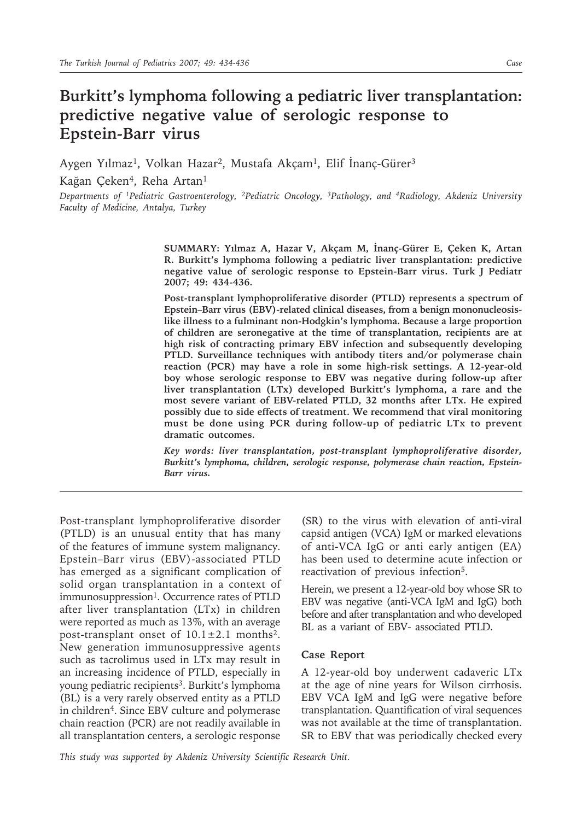## **Burkitt's lymphoma following a pediatric liver transplantation: predictive negative value of serologic response to Epstein-Barr virus**

Aygen Yılmaz<sup>1</sup>, Volkan Hazar<sup>2</sup>, Mustafa Akçam<sup>1</sup>, Elif İnanç-Gürer<sup>3</sup>

Kağan Çeken<sup>4</sup>, Reha Artan<sup>1</sup>

*Departments of 1Pediatric Gastroenterology, 2Pediatric Oncology, 3Pathology, and 4Radiology, Akdeniz University Faculty of Medicine, Antalya, Turkey*

> **SUMMARY: Yılmaz A, Hazar V, Akçam M, İnanç-Gürer E, Çeken K, Artan R. Burkitt's lymphoma following a pediatric liver transplantation: predictive negative value of serologic response to Epstein-Barr virus. Turk J Pediatr 2007; 49: 434-436.**

> **Post-transplant lymphoproliferative disorder (PTLD) represents a spectrum of Epstein–Barr virus (EBV)-related clinical diseases, from a benign mononucleosislike illness to a fulminant non-Hodgkin's lymphoma. Because a large proportion of children are seronegative at the time of transplantation, recipients are at high risk of contracting primary EBV infection and subsequently developing PTLD. Surveillance techniques with antibody titers and/or polymerase chain reaction (PCR) may have a role in some high-risk settings. A 12-year-old boy whose serologic response to EBV was negative during follow-up after liver transplantation (LTx) developed Burkitt's lymphoma, a rare and the most severe variant of EBV-related PTLD, 32 months after LTx. He expired possibly due to side effects of treatment. We recommend that viral monitoring must be done using PCR during follow-up of pediatric LTx to prevent dramatic outcomes.**

> *Key words: liver transplantation, post-transplant lymphoproliferative disorder, Burkitt's lymphoma, children, serologic response, polymerase chain reaction, Epstein-Barr virus.*

Post-transplant lymphoproliferative disorder (PTLD) is an unusual entity that has many of the features of immune system malignancy. Epstein–Barr virus (EBV)-associated PTLD has emerged as a significant complication of solid organ transplantation in a context of immunosuppression<sup>1</sup>. Occurrence rates of PTLD after liver transplantation (LTx) in children were reported as much as 13%, with an average post-transplant onset of  $10.1 \pm 2.1$  months<sup>2</sup>. New generation immunosuppressive agents such as tacrolimus used in LTx may result in an increasing incidence of PTLD, especially in young pediatric recipients<sup>3</sup>. Burkitt's lymphoma (BL) is a very rarely observed entity as a PTLD in children<sup>4</sup>. Since EBV culture and polymerase chain reaction (PCR) are not readily available in all transplantation centers, a serologic response

(SR) to the virus with elevation of anti-viral capsid antigen (VCA) IgM or marked elevations of anti-VCA IgG or anti early antigen (EA) has been used to determine acute infection or reactivation of previous infection5.

Herein, we present a 12-year-old boy whose SR to EBV was negative (anti-VCA IgM and IgG) both before and after transplantation and who developed BL as a variant of EBV- associated PTLD.

## **Case Report**

A 12-year-old boy underwent cadaveric LTx at the age of nine years for Wilson cirrhosis. EBV VCA IgM and IgG were negative before transplantation. Quantification of viral sequences was not available at the time of transplantation. SR to EBV that was periodically checked every

*This study was supported by Akdeniz University Scientific Research Unit.*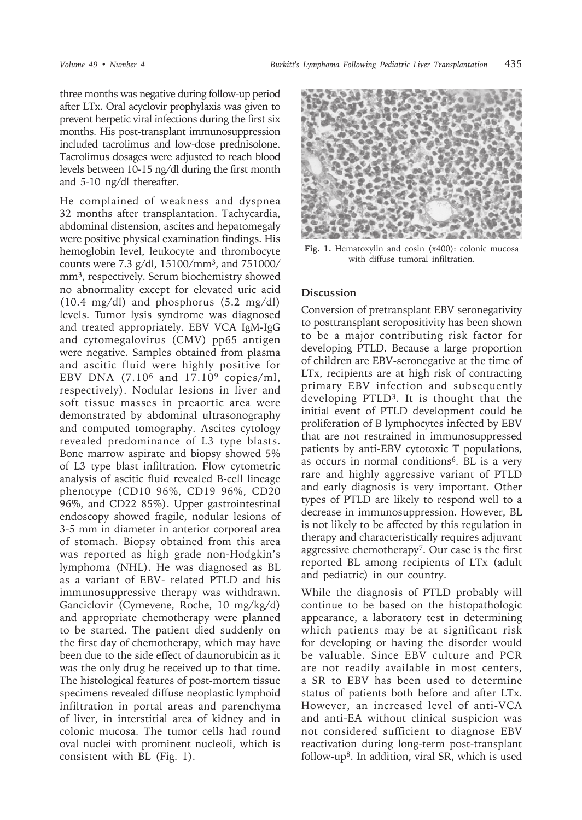three months was negative during follow-up period after LTx. Oral acyclovir prophylaxis was given to prevent herpetic viral infections during the first six months. His post-transplant immunosuppression included tacrolimus and low-dose prednisolone. Tacrolimus dosages were adjusted to reach blood levels between 10-15 ng/dl during the first month and 5-10 ng/dl thereafter.

He complained of weakness and dyspnea 32 months after transplantation. Tachycardia, abdominal distension, ascites and hepatomegaly were positive physical examination findings. His hemoglobin level, leukocyte and thrombocyte counts were 7.3 g/dl, 15100/mm3, and 751000/ mm<sup>3</sup>, respectively. Serum biochemistry showed no abnormality except for elevated uric acid (10.4 mg/dl) and phosphorus (5.2 mg/dl) levels. Tumor lysis syndrome was diagnosed and treated appropriately. EBV VCA IgM-IgG and cytomegalovirus (CMV) pp65 antigen were negative. Samples obtained from plasma and ascitic fluid were highly positive for EBV DNA (7.106 and 17.109 copies/ml, respectively). Nodular lesions in liver and soft tissue masses in preaortic area were demonstrated by abdominal ultrasonography and computed tomography. Ascites cytology revealed predominance of L3 type blasts. Bone marrow aspirate and biopsy showed 5% of L3 type blast infiltration. Flow cytometric analysis of ascitic fluid revealed B-cell lineage phenotype (CD10 96%, CD19 96%, CD20 96%, and CD22 85%). Upper gastrointestinal endoscopy showed fragile, nodular lesions of 3-5 mm in diameter in anterior corporeal area of stomach. Biopsy obtained from this area was reported as high grade non-Hodgkin's lymphoma (NHL). He was diagnosed as BL as a variant of EBV- related PTLD and his immunosuppressive therapy was withdrawn. Ganciclovir (Cymevene, Roche, 10 mg/kg/d) and appropriate chemotherapy were planned to be started. The patient died suddenly on the first day of chemotherapy, which may have been due to the side effect of daunorubicin as it was the only drug he received up to that time. The histological features of post-mortem tissue specimens revealed diffuse neoplastic lymphoid infiltration in portal areas and parenchyma of liver, in interstitial area of kidney and in colonic mucosa. The tumor cells had round oval nuclei with prominent nucleoli, which is consistent with BL (Fig. 1).



**Fig. 1.** Hematoxylin and eosin (x400): colonic mucosa with diffuse tumoral infiltration.

## **Discussion**

Conversion of pretransplant EBV seronegativity to posttransplant seropositivity has been shown to be a major contributing risk factor for developing PTLD. Because a large proportion of children are EBV-seronegative at the time of LTx, recipients are at high risk of contracting primary EBV infection and subsequently developing PTLD3. It is thought that the initial event of PTLD development could be proliferation of B lymphocytes infected by EBV that are not restrained in immunosuppressed patients by anti-EBV cytotoxic T populations, as occurs in normal conditions6. BL is a very rare and highly aggressive variant of PTLD and early diagnosis is very important. Other types of PTLD are likely to respond well to a decrease in immunosuppression. However, BL is not likely to be affected by this regulation in therapy and characteristically requires adjuvant aggressive chemotherapy7. Our case is the first reported BL among recipients of LTx (adult and pediatric) in our country.

While the diagnosis of PTLD probably will continue to be based on the histopathologic appearance, a laboratory test in determining which patients may be at significant risk for developing or having the disorder would be valuable. Since EBV culture and PCR are not readily available in most centers, a SR to EBV has been used to determine status of patients both before and after LTx. However, an increased level of anti-VCA and anti-EA without clinical suspicion was not considered sufficient to diagnose EBV reactivation during long-term post-transplant follow-up<sup>8</sup>. In addition, viral SR, which is used